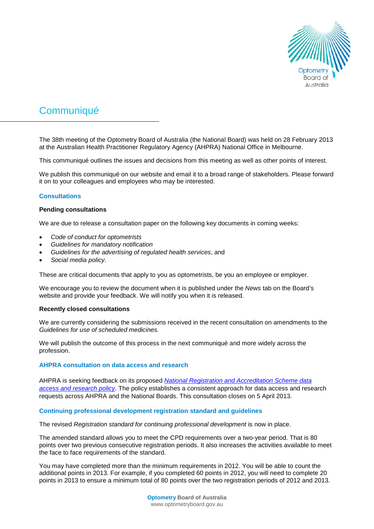

# **Communiqué**

The 38th meeting of the Optometry Board of Australia (the National Board) was held on 28 February 2013 at the Australian Health Practitioner Regulatory Agency (AHPRA) National Office in Melbourne.

This communiqué outlines the issues and decisions from this meeting as well as other points of interest.

We publish this communiqué on our website and email it to a broad range of stakeholders. Please forward it on to your colleagues and employees who may be interested.

# **Consultations**

## **Pending consultations**

We are due to release a consultation paper on the following key documents in coming weeks:

- *Code of conduct for optometrists*
- *Guidelines for mandatory notification*
- *Guidelines for the advertising of regulated health services*, and
- *Social media policy*.

These are critical documents that apply to you as optometrists, be you an employee or employer.

We encourage you to review the document when it is published under the *News* tab on the Board's website and provide your feedback. We will notify you when it is released.

### **Recently closed consultations**

We are currently considering the submissions received in the recent consultation on amendments to the *Guidelines for use of scheduled medicines.*

We will publish the outcome of this process in the next communiqué and more widely across the profession.

## **AHPRA consultation on data access and research**

AHPRA is seeking feedback on its proposed *[National Registration and Accreditation Scheme data](http://www.ahpra.gov.au/News/2013-02-25-data-access.aspx)  [access and research policy](http://www.ahpra.gov.au/News/2013-02-25-data-access.aspx)*. The policy establishes a consistent approach for data access and research requests across AHPRA and the National Boards. This consultation closes on 5 April 2013.

### **Continuing professional development registration standard and guidelines**

The revised *Registration standard for continuing professional development* is now in place.

The amended standard allows you to meet the CPD requirements over a two-year period. That is 80 points over two previous consecutive registration periods. It also increases the activities available to meet the face to face requirements of the standard.

You may have completed more than the minimum requirements in 2012. You will be able to count the additional points in 2013. For example, if you completed 60 points in 2012, you will need to complete 20 points in 2013 to ensure a minimum total of 80 points over the two registration periods of 2012 and 2013.